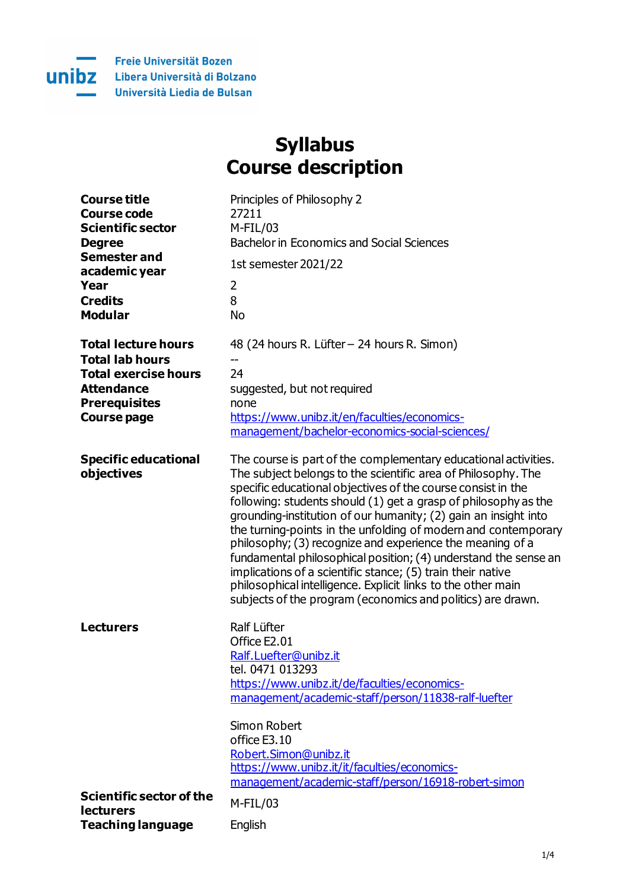

## **Syllabus Course description**

| <b>Course title</b>           | Principles of Philosophy 2                       |
|-------------------------------|--------------------------------------------------|
| Course code                   | 77711                                            |
| <b>Scientific sector</b>      | M-FIL /03                                        |
| <b>Degree</b>                 | <b>Bachelor in Economics and Social Sciences</b> |
| Semester and<br>academic year | 1st semester 2021/22                             |
| Year                          |                                                  |
| <b>Credits</b>                |                                                  |
|                               |                                                  |

| <b>Total lecture hours</b>  | 48 (24 hours R. Lüfter - 24 hours R. Simon)    |
|-----------------------------|------------------------------------------------|
| <b>Total lab hours</b>      |                                                |
| <b>Total exercise hours</b> |                                                |
| <b>Attendance</b>           | suggested, but not required                    |
| <b>Prerequisites</b>        | none                                           |
| <b>Course page</b>          | https://www.unibz.it/en/faculties/economics-   |
|                             | management/hachelor-economics-social-sciences/ |

| <b>Specific educational</b> | The course is part of the complementary educational activities. |
|-----------------------------|-----------------------------------------------------------------|
| objectives                  | The subject belongs to the scientific area of Philosophy. The   |
|                             | specific educational objectives of the course consist in the    |
|                             | following: students should (1) get a grasp of philosophy as the |
|                             | grounding-institution of our humanity; (2) gain an insight into |
|                             | the turning-points in the unfolding of modern and contemporary  |
|                             | philosophy; (3) recognize and experience the meaning of a       |
|                             | fundamental philosophical position; (4) understand the sense an |
|                             | implications of a scientific stance; (5) train their native     |
|                             | philosophical intelligence. Explicit links to the other main    |
|                             | subjects of the program (economics and politics) are drawn.     |

| <b>Lecturers</b>                                    | Ralf Lüfter<br>Office E2.01<br>Ralf.Luefter@unibz.it<br>tel. 0471 013293                                                     |
|-----------------------------------------------------|------------------------------------------------------------------------------------------------------------------------------|
|                                                     | https://www.unibz.it/de/faculties/economics-<br>management/academic-staff/person/11838-ralf-luefter                          |
|                                                     | Simon Robert<br>office E3.10                                                                                                 |
|                                                     | Robert.Simon@unibz.it<br>https://www.unibz.it/it/faculties/economics-<br>management/academic-staff/person/16918-robert-simon |
| <b>Scientific sector of the</b><br><b>lecturers</b> | M-FIL/03                                                                                                                     |
| <b>Teaching language</b>                            | English                                                                                                                      |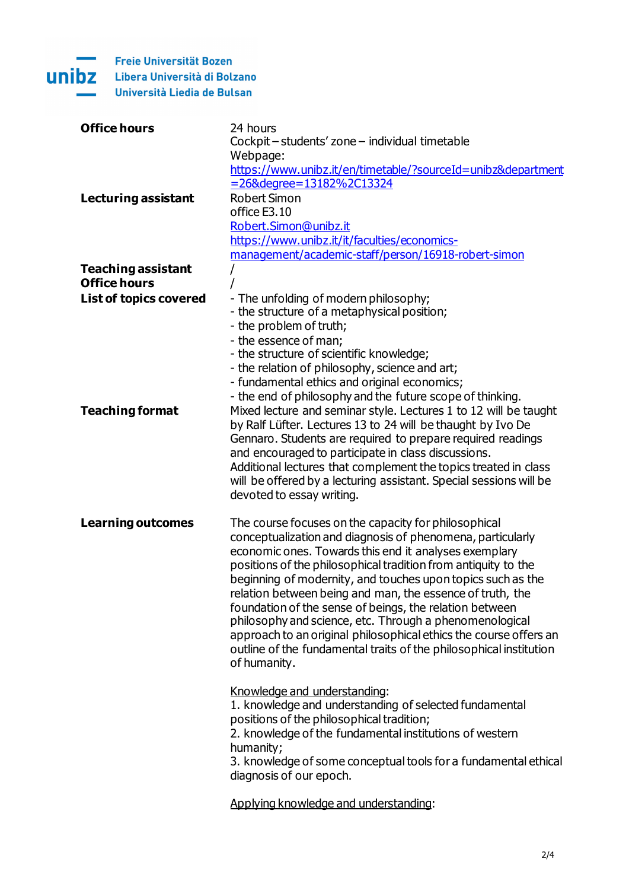

| <b>Office hours</b>           | 24 hours                                                                                                                                                                                                    |
|-------------------------------|-------------------------------------------------------------------------------------------------------------------------------------------------------------------------------------------------------------|
|                               | Cockpit-students' zone-individual timetable                                                                                                                                                                 |
|                               | Webpage:                                                                                                                                                                                                    |
|                               | https://www.unibz.it/en/timetable/?sourceId=unibz&department                                                                                                                                                |
|                               | =26&degree=13182%2C13324                                                                                                                                                                                    |
| <b>Lecturing assistant</b>    | <b>Robert Simon</b>                                                                                                                                                                                         |
|                               | office E3.10                                                                                                                                                                                                |
|                               | Robert.Simon@unibz.it                                                                                                                                                                                       |
|                               | https://www.unibz.it/it/faculties/economics-                                                                                                                                                                |
|                               |                                                                                                                                                                                                             |
|                               | management/academic-staff/person/16918-robert-simon                                                                                                                                                         |
| <b>Teaching assistant</b>     |                                                                                                                                                                                                             |
| <b>Office hours</b>           |                                                                                                                                                                                                             |
| <b>List of topics covered</b> | - The unfolding of modern philosophy;                                                                                                                                                                       |
|                               | - the structure of a metaphysical position;                                                                                                                                                                 |
|                               | - the problem of truth;                                                                                                                                                                                     |
|                               | - the essence of man;                                                                                                                                                                                       |
|                               | - the structure of scientific knowledge;                                                                                                                                                                    |
|                               | - the relation of philosophy, science and art;                                                                                                                                                              |
|                               | - fundamental ethics and original economics;                                                                                                                                                                |
|                               | - the end of philosophy and the future scope of thinking.                                                                                                                                                   |
| <b>Teaching format</b>        | Mixed lecture and seminar style. Lectures 1 to 12 will be taught                                                                                                                                            |
|                               | by Ralf Lüfter. Lectures 13 to 24 will be thaught by Ivo De                                                                                                                                                 |
|                               | Gennaro. Students are required to prepare required readings                                                                                                                                                 |
|                               | and encouraged to participate in class discussions.                                                                                                                                                         |
|                               | Additional lectures that complement the topics treated in class                                                                                                                                             |
|                               | will be offered by a lecturing assistant. Special sessions will be                                                                                                                                          |
|                               | devoted to essay writing.                                                                                                                                                                                   |
|                               |                                                                                                                                                                                                             |
| <b>Learning outcomes</b>      | The course focuses on the capacity for philosophical                                                                                                                                                        |
|                               | conceptualization and diagnosis of phenomena, particularly                                                                                                                                                  |
|                               | economic ones. Towards this end it analyses exemplary                                                                                                                                                       |
|                               | positions of the philosophical tradition from antiquity to the                                                                                                                                              |
|                               | beginning of modernity, and touches upon topics such as the                                                                                                                                                 |
|                               | relation between being and man, the essence of truth, the                                                                                                                                                   |
|                               | foundation of the sense of beings, the relation between                                                                                                                                                     |
|                               | philosophy and science, etc. Through a phenomenological                                                                                                                                                     |
|                               | approach to an original philosophical ethics the course offers an                                                                                                                                           |
|                               | outline of the fundamental traits of the philosophical institution                                                                                                                                          |
|                               | of humanity.                                                                                                                                                                                                |
|                               |                                                                                                                                                                                                             |
|                               | Knowledge and understanding:                                                                                                                                                                                |
|                               | 1. knowledge and understanding of selected fundamental                                                                                                                                                      |
|                               | positions of the philosophical tradition;                                                                                                                                                                   |
|                               |                                                                                                                                                                                                             |
|                               |                                                                                                                                                                                                             |
|                               |                                                                                                                                                                                                             |
|                               |                                                                                                                                                                                                             |
|                               |                                                                                                                                                                                                             |
|                               |                                                                                                                                                                                                             |
|                               | 2. knowledge of the fundamental institutions of western<br>humanity;<br>3. knowledge of some conceptual tools for a fundamental ethical<br>diagnosis of our epoch.<br>Applying knowledge and understanding: |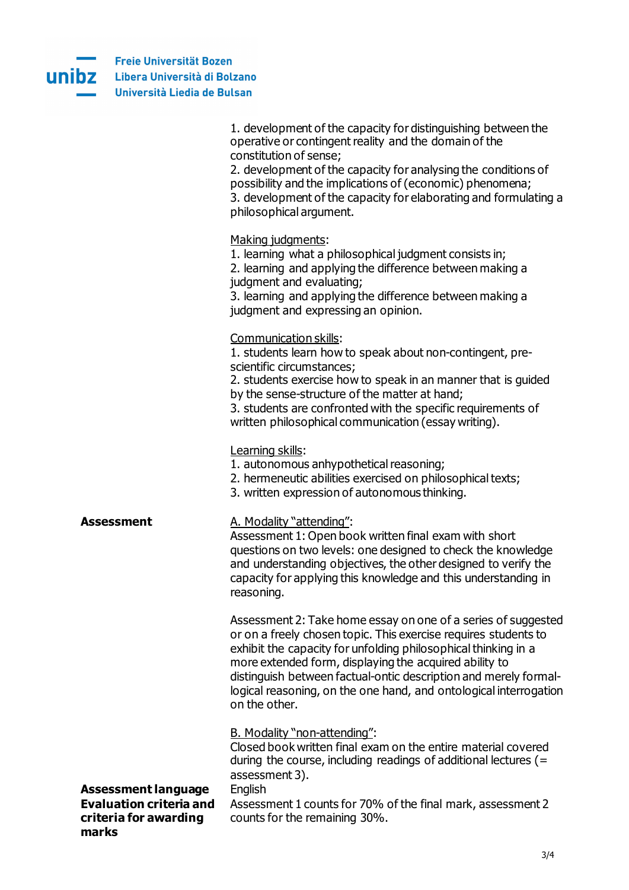

|                                | 1. development of the capacity for distinguishing between the<br>operative or contingent reality and the domain of the<br>constitution of sense; |
|--------------------------------|--------------------------------------------------------------------------------------------------------------------------------------------------|
|                                | 2. development of the capacity for analysing the conditions of                                                                                   |
|                                | possibility and the implications of (economic) phenomena;                                                                                        |
|                                | 3. development of the capacity for elaborating and formulating a                                                                                 |
|                                | philosophical argument.                                                                                                                          |
|                                | Making judgments:                                                                                                                                |
|                                | 1. learning what a philosophical judgment consists in;                                                                                           |
|                                | 2. learning and applying the difference between making a                                                                                         |
|                                | judgment and evaluating;                                                                                                                         |
|                                | 3. learning and applying the difference between making a<br>judgment and expressing an opinion.                                                  |
|                                |                                                                                                                                                  |
|                                | Communication skills:                                                                                                                            |
|                                | 1. students learn how to speak about non-contingent, pre-<br>scientific circumstances;                                                           |
|                                | 2. students exercise how to speak in an manner that is guided                                                                                    |
|                                | by the sense-structure of the matter at hand;                                                                                                    |
|                                | 3. students are confronted with the specific requirements of                                                                                     |
|                                | written philosophical communication (essay writing).                                                                                             |
|                                | Learning skills:                                                                                                                                 |
|                                | 1. autonomous anhypothetical reasoning;                                                                                                          |
|                                | 2. hermeneutic abilities exercised on philosophical texts;                                                                                       |
|                                | 3. written expression of autonomous thinking.                                                                                                    |
| <b>Assessment</b>              | A. Modality "attending":                                                                                                                         |
|                                | Assessment 1: Open book written final exam with short                                                                                            |
|                                | questions on two levels: one designed to check the knowledge<br>and understanding objectives, the other designed to verify the                   |
|                                | capacity for applying this knowledge and this understanding in                                                                                   |
|                                | reasoning.                                                                                                                                       |
|                                |                                                                                                                                                  |
|                                | Assessment 2: Take home essay on one of a series of suggested<br>or on a freely chosen topic. This exercise requires students to                 |
|                                | exhibit the capacity for unfolding philosophical thinking in a                                                                                   |
|                                | more extended form, displaying the acquired ability to                                                                                           |
|                                | distinguish between factual-ontic description and merely formal-<br>logical reasoning, on the one hand, and ontological interrogation            |
|                                | on the other.                                                                                                                                    |
|                                |                                                                                                                                                  |
|                                | B. Modality "non-attending":                                                                                                                     |
|                                | Closed book written final exam on the entire material covered<br>during the course, including readings of additional lectures ( $=$              |
|                                | assessment 3).                                                                                                                                   |
| <b>Assessment language</b>     | English                                                                                                                                          |
| <b>Evaluation criteria and</b> | Assessment 1 counts for 70% of the final mark, assessment 2                                                                                      |
| criteria for awarding<br>marks | counts for the remaining 30%.                                                                                                                    |
|                                |                                                                                                                                                  |